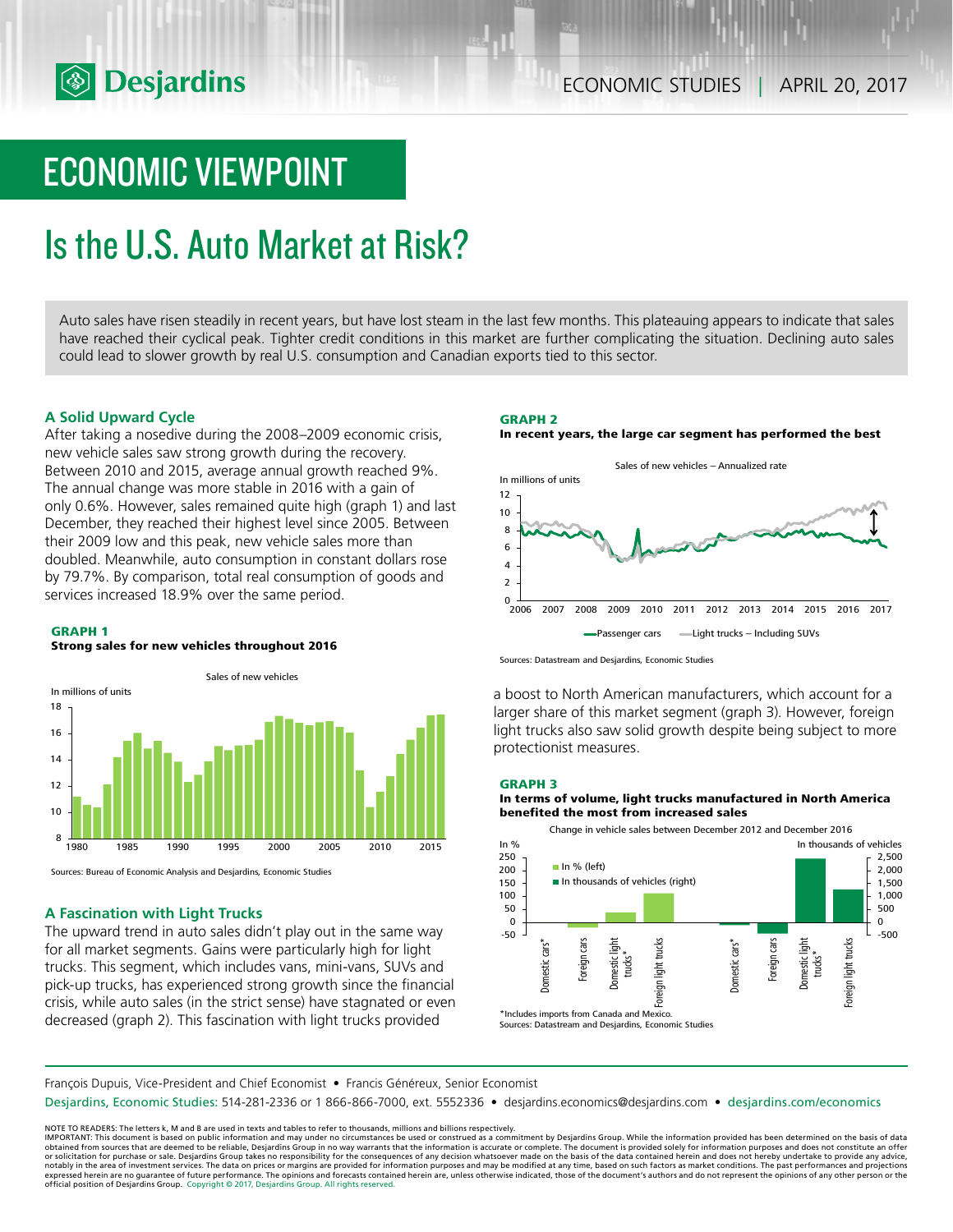

# ECONOMIC VIEWPOINT

# Is the U.S. Auto Market at Risk?

Auto sales have risen steadily in recent years, but have lost steam in the last few months. This plateauing appears to indicate that sales have reached their cyclical peak. Tighter credit conditions in this market are further complicating the situation. Declining auto sales could lead to slower growth by real U.S. consumption and Canadian exports tied to this sector.

# **A Solid Upward Cycle**

After taking a nosedive during the 2008–2009 economic crisis, new vehicle sales saw strong growth during the recovery. Between 2010 and 2015, average annual growth reached 9%. The annual change was more stable in 2016 with a gain of only 0.6%. However, sales remained quite high (graph 1) and last December, they reached their highest level since 2005. Between their 2009 low and this peak, new vehicle sales more than doubled. Meanwhile, auto consumption in constant dollars rose by 79.7%. By comparison, total real consumption of goods and services increased 18.9% over the same period.

## **GRAPH 1**

## **Strong sales for new vehicles throughout 2016**



Sources: Bureau of Economic Analysis and Desjardins, Economic Studies

# **A Fascination with Light Trucks**

The upward trend in auto sales didn't play out in the same way for all market segments. Gains were particularly high for light trucks. This segment, which includes vans, mini-vans, SUVs and pick-up trucks, has experienced strong growth since the financial crisis, while auto sales (in the strict sense) have stagnated or even decreased (graph 2). This fascination with light trucks provided





Sources: Datastream and Desjardins, Economic Studies

a boost to North American manufacturers, which account for a larger share of this market segment (graph 3). However, foreign light trucks also saw solid growth despite being subject to more protectionist measures.

## **GRAPH 3**

# **In terms of volume, light trucks manufactured in North America benefited the most from increased sales**



François Dupuis, Vice-President and Chief Economist • Francis Généreux, Senior Economist

Desjardins, Economic Studies: 514-281-2336 or 1 866-866-7000, ext. 5552336 • desjardins.economics@desjardins.com • desjardins.com/economics

NOTE TO READERS: The letters k, M and B are used in texts and tables to refer to thousands, millions and billions respectively.<br>IMPORTANT: This document is based on public information and may under no circumstances be used obtained from sources that are deemed to be reliable, Desjardins Group in no way warrants that the information is accurate or complete. The document is provided solely for information purposes and does not constitute an of expressed herein are no guarantee of future performance. The opinions and forecasts contained herein are, unless otherwise indicated, those of the document's authors and do not represent the opinions of any other person or official position of Desjardins Group. Copyright © 2017, Desjardins Group. All rights reserved.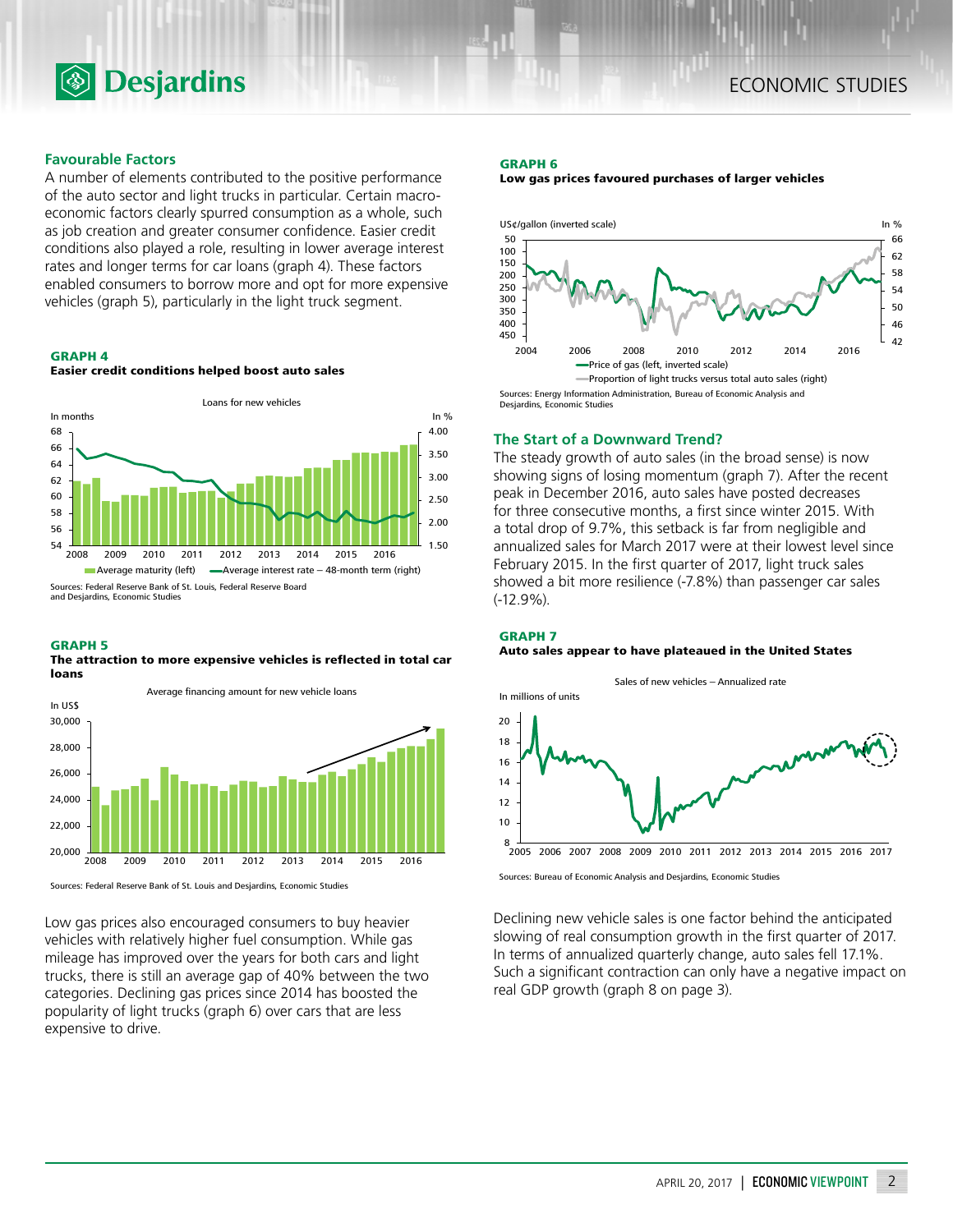

# **Favourable Factors**

A number of elements contributed to the positive performance of the auto sector and light trucks in particular. Certain macroeconomic factors clearly spurred consumption as a whole, such as job creation and greater consumer confidence. Easier credit conditions also played a role, resulting in lower average interest rates and longer terms for car loans (graph 4). These factors enabled consumers to borrow more and opt for more expensive vehicles (graph 5), particularly in the light truck segment.

## **GRAPH 4**





## **GRAPH 5**

**The attraction to more expensive vehicles is reflected in total car loans**



Sources: Federal Reserve Bank of St. Louis and Desjardins, Economic Studies

Low gas prices also encouraged consumers to buy heavier vehicles with relatively higher fuel consumption. While gas mileage has improved over the years for both cars and light trucks, there is still an average gap of 40% between the two categories. Declining gas prices since 2014 has boosted the popularity of light trucks (graph 6) over cars that are less expensive to drive.

## **GRAPH 6**





# **The Start of a Downward Trend?**

The steady growth of auto sales (in the broad sense) is now showing signs of losing momentum (graph 7). After the recent peak in December 2016, auto sales have posted decreases for three consecutive months, a first since winter 2015. With a total drop of 9.7%, this setback is far from negligible and annualized sales for March 2017 were at their lowest level since February 2015. In the first quarter of 2017, light truck sales showed a bit more resilience (-7.8%) than passenger car sales (-12.9%).

## **GRAPH 7**

## **Auto sales appear to have plateaued in the United States**



Sources: Bureau of Economic Analysis and Desjardins, Economic Studies

Declining new vehicle sales is one factor behind the anticipated slowing of real consumption growth in the first quarter of 2017. In terms of annualized quarterly change, auto sales fell 17.1%. Such a significant contraction can only have a negative impact on real GDP growth (graph 8 on page 3).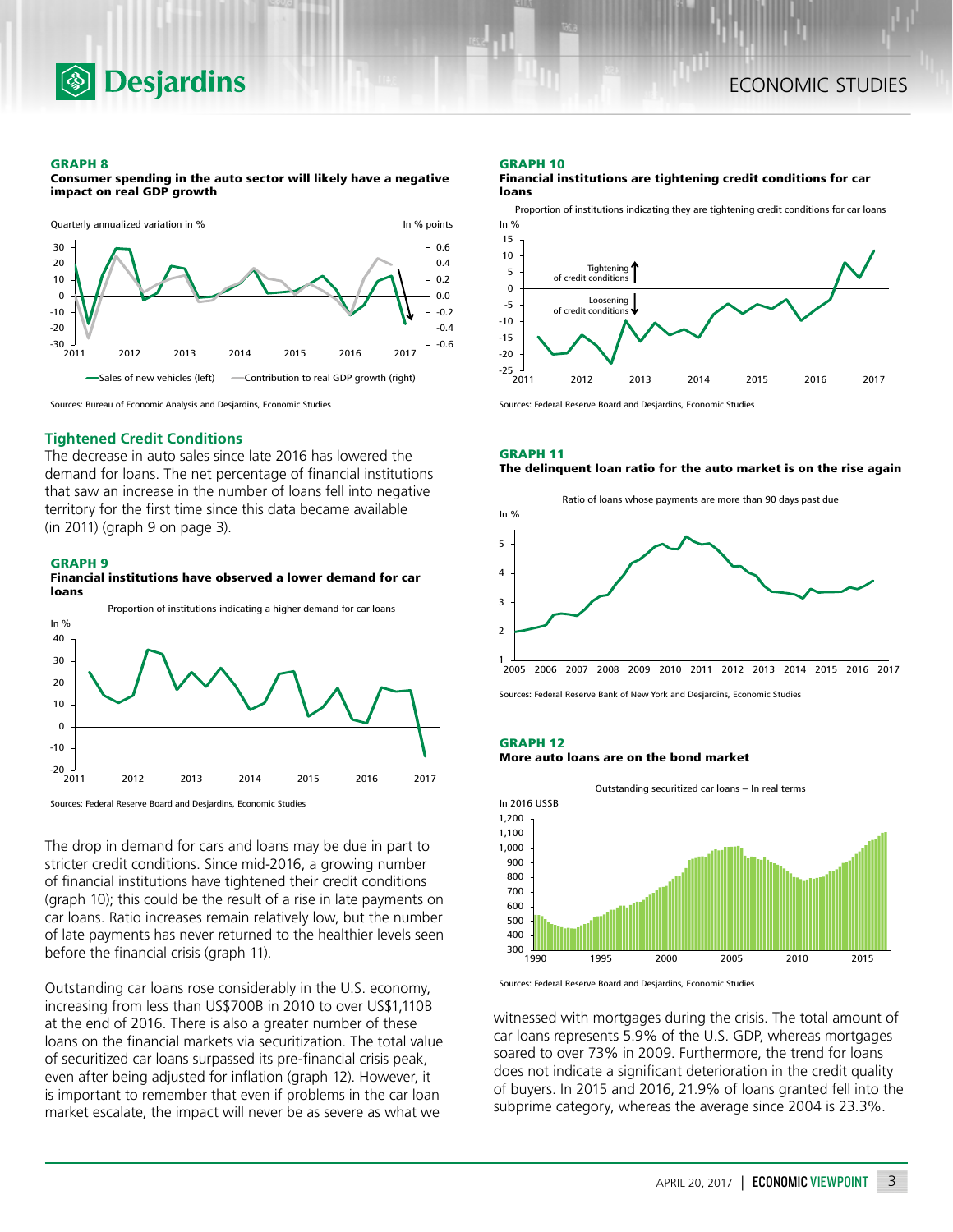

#### **GRAPH 8**

**Consumer spending in the auto sector will likely have a negative impact on real GDP growth**



Sources: Bureau of Economic Analysis and Desjardins, Economic Studies

# **Tightened Credit Conditions**

The decrease in auto sales since late 2016 has lowered the demand for loans. The net percentage of financial institutions that saw an increase in the number of loans fell into negative territory for the first time since this data became available (in 2011) (graph 9 on page 3).

## **GRAPH 9**

#### **Financial institutions have observed a lower demand for car loans**



Sources: Federal Reserve Board and Desjardins, Economic Studies

The drop in demand for cars and loans may be due in part to stricter credit conditions. Since mid-2016, a growing number of financial institutions have tightened their credit conditions (graph 10); this could be the result of a rise in late payments on car loans. Ratio increases remain relatively low, but the number of late payments has never returned to the healthier levels seen before the financial crisis (graph 11).

Outstanding car loans rose considerably in the U.S. economy, increasing from less than US\$700B in 2010 to over US\$1,110B at the end of 2016. There is also a greater number of these loans on the financial markets via securitization. The total value of securitized car loans surpassed its pre-financial crisis peak, even after being adjusted for inflation (graph 12). However, it is important to remember that even if problems in the car loan market escalate, the impact will never be as severe as what we

#### **GRAPH 10**

**Financial institutions are tightening credit conditions for car loans**

Proportion of institutions indicating they are tightening credit conditions for car loans



Sources: Federal Reserve Board and Desjardins, Economic Studies

#### **GRAPH 11 The delinquent loan ratio for the auto market is on the rise again**



Sources: Federal Reserve Bank of New York and Desjardins, Economic Studies

#### **GRAPH 12 More auto loans are on the bond market**





Sources: Federal Reserve Board and Desjardins, Economic Studies

witnessed with mortgages during the crisis. The total amount of car loans represents 5.9% of the U.S. GDP, whereas mortgages soared to over 73% in 2009. Furthermore, the trend for loans does not indicate a significant deterioration in the credit quality of buyers. In 2015 and 2016, 21.9% of loans granted fell into the subprime category, whereas the average since 2004 is 23.3%.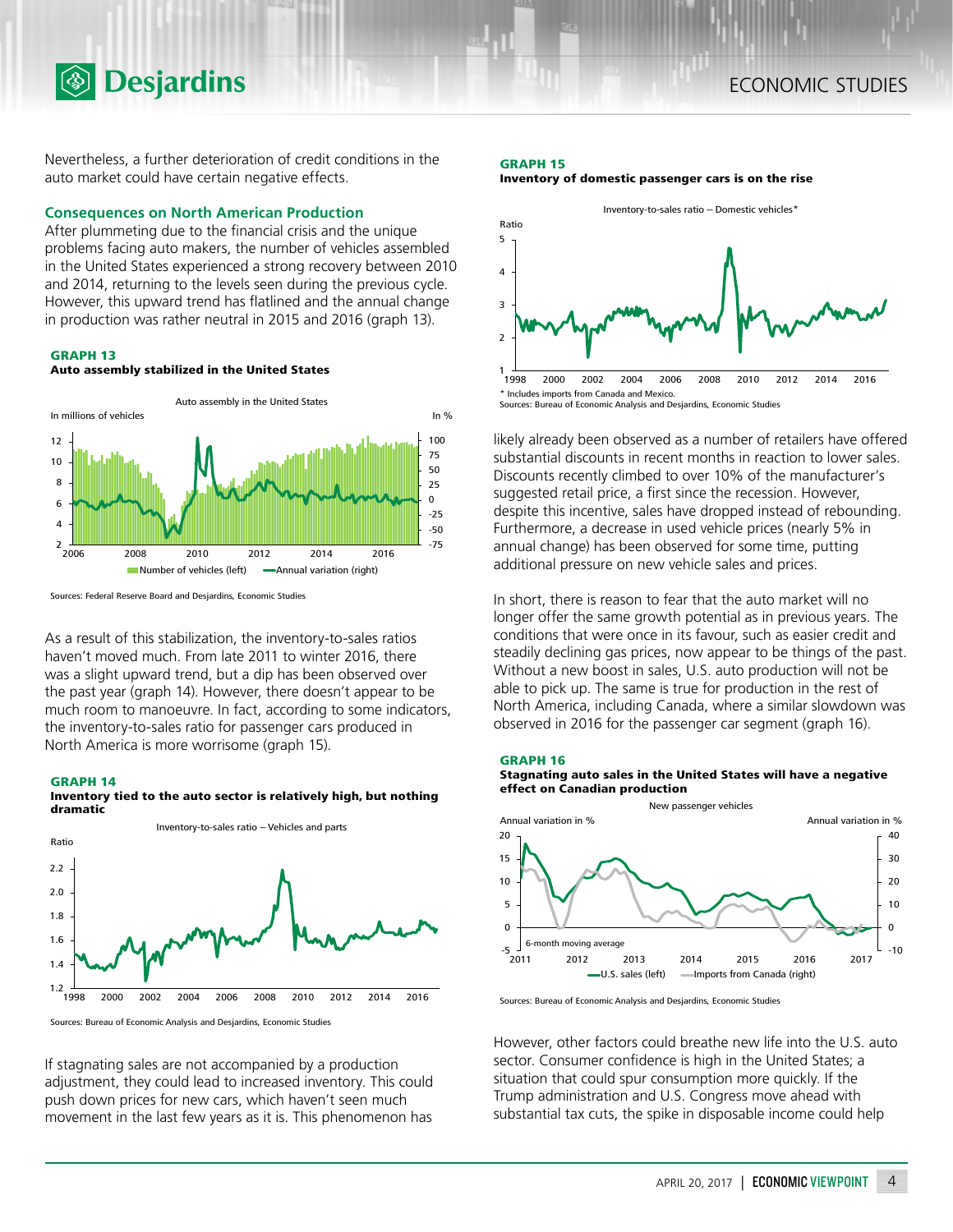Nevertheless, a further deterioration of credit conditions in the auto market could have certain negative effects.

# **Consequences on North American Production**

**<b>Desjardins** 

After plummeting due to the financial crisis and the unique problems facing auto makers, the number of vehicles assembled in the United States experienced a strong recovery between 2010 and 2014, returning to the levels seen during the previous cycle. However, this upward trend has flatlined and the annual change in production was rather neutral in 2015 and 2016 (graph 13).

# **GRAPH 13**

# **Auto assembly stabilized in the United States**



Sources: Federal Reserve Board and Desjardins, Economic Studies

As a result of this stabilization, the inventory-to-sales ratios haven't moved much. From late 2011 to winter 2016, there was a slight upward trend, but a dip has been observed over the past year (graph 14). However, there doesn't appear to be much room to manoeuvre. In fact, according to some indicators, the inventory-to-sales ratio for passenger cars produced in North America is more worrisome (graph 15).

#### **GRAPH 14**

**Inventory tied to the auto sector is relatively high, but nothing dramatic** 



Sources: Bureau of Economic Analysis and Desjardins, Economic Studies

If stagnating sales are not accompanied by a production adjustment, they could lead to increased inventory. This could push down prices for new cars, which haven't seen much movement in the last few years as it is. This phenomenon has

# **GRAPH 15 Inventory of domestic passenger cars is on the rise**



likely already been observed as a number of retailers have offered substantial discounts in recent months in reaction to lower sales. Discounts recently climbed to over 10% of the manufacturer's suggested retail price, a first since the recession. However, despite this incentive, sales have dropped instead of rebounding. Furthermore, a decrease in used vehicle prices (nearly 5% in annual change) has been observed for some time, putting additional pressure on new vehicle sales and prices.

In short, there is reason to fear that the auto market will no longer offer the same growth potential as in previous years. The conditions that were once in its favour, such as easier credit and steadily declining gas prices, now appear to be things of the past. Without a new boost in sales, U.S. auto production will not be able to pick up. The same is true for production in the rest of North America, including Canada, where a similar slowdown was observed in 2016 for the passenger car segment (graph 16).

# **GRAPH 16**





Sources: Bureau of Economic Analysis and Desjardins, Economic Studies

However, other factors could breathe new life into the U.S. auto sector. Consumer confidence is high in the United States; a situation that could spur consumption more quickly. If the Trump administration and U.S. Congress move ahead with substantial tax cuts, the spike in disposable income could help